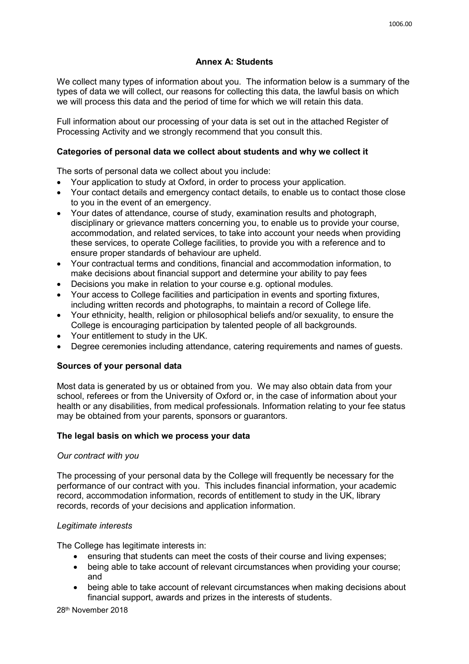# **Annex A: Students**

We collect many types of information about you. The information below is a summary of the types of data we will collect, our reasons for collecting this data, the lawful basis on which we will process this data and the period of time for which we will retain this data.

Full information about our processing of your data is set out in the attached Register of Processing Activity and we strongly recommend that you consult this.

# **Categories of personal data we collect about students and why we collect it**

The sorts of personal data we collect about you include:

- Your application to study at Oxford, in order to process your application.
- Your contact details and emergency contact details, to enable us to contact those close to you in the event of an emergency.
- Your dates of attendance, course of study, examination results and photograph, disciplinary or grievance matters concerning you, to enable us to provide your course, accommodation, and related services, to take into account your needs when providing these services, to operate College facilities, to provide you with a reference and to ensure proper standards of behaviour are upheld.
- Your contractual terms and conditions, financial and accommodation information, to make decisions about financial support and determine your ability to pay fees
- Decisions you make in relation to your course e.g. optional modules.
- Your access to College facilities and participation in events and sporting fixtures, including written records and photographs, to maintain a record of College life.
- Your ethnicity, health, religion or philosophical beliefs and/or sexuality, to ensure the College is encouraging participation by talented people of all backgrounds.
- Your entitlement to study in the UK.
- Degree ceremonies including attendance, catering requirements and names of guests.

# **Sources of your personal data**

Most data is generated by us or obtained from you. We may also obtain data from your school, referees or from the University of Oxford or, in the case of information about your health or any disabilities, from medical professionals. Information relating to your fee status may be obtained from your parents, sponsors or guarantors.

# **The legal basis on which we process your data**

# *Our contract with you*

The processing of your personal data by the College will frequently be necessary for the performance of our contract with you. This includes financial information, your academic record, accommodation information, records of entitlement to study in the UK, library records, records of your decisions and application information.

# *Legitimate interests*

The College has legitimate interests in:

- ensuring that students can meet the costs of their course and living expenses;
- being able to take account of relevant circumstances when providing your course; and
- being able to take account of relevant circumstances when making decisions about financial support, awards and prizes in the interests of students.

28th November 2018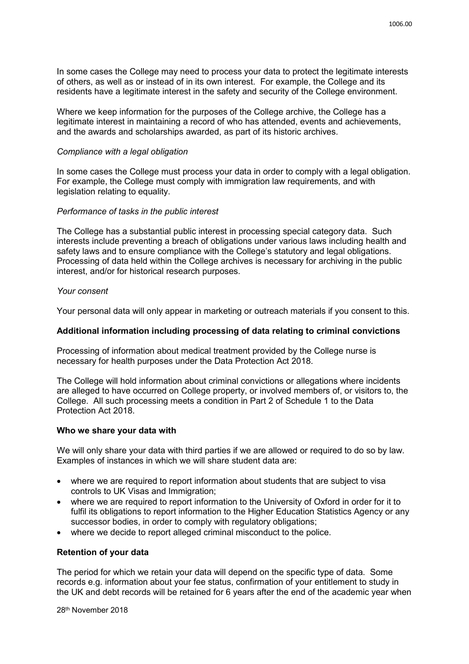In some cases the College may need to process your data to protect the legitimate interests of others, as well as or instead of in its own interest. For example, the College and its residents have a legitimate interest in the safety and security of the College environment.

Where we keep information for the purposes of the College archive, the College has a legitimate interest in maintaining a record of who has attended, events and achievements, and the awards and scholarships awarded, as part of its historic archives.

### *Compliance with a legal obligation*

In some cases the College must process your data in order to comply with a legal obligation. For example, the College must comply with immigration law requirements, and with legislation relating to equality.

### *Performance of tasks in the public interest*

The College has a substantial public interest in processing special category data. Such interests include preventing a breach of obligations under various laws including health and safety laws and to ensure compliance with the College's statutory and legal obligations. Processing of data held within the College archives is necessary for archiving in the public interest, and/or for historical research purposes.

#### *Your consent*

Your personal data will only appear in marketing or outreach materials if you consent to this.

### **Additional information including processing of data relating to criminal convictions**

Processing of information about medical treatment provided by the College nurse is necessary for health purposes under the Data Protection Act 2018.

The College will hold information about criminal convictions or allegations where incidents are alleged to have occurred on College property, or involved members of, or visitors to, the College. All such processing meets a condition in Part 2 of Schedule 1 to the Data Protection Act 2018.

### **Who we share your data with**

We will only share your data with third parties if we are allowed or required to do so by law. Examples of instances in which we will share student data are:

- where we are required to report information about students that are subject to visa controls to UK Visas and Immigration;
- where we are required to report information to the University of Oxford in order for it to fulfil its obligations to report information to the Higher Education Statistics Agency or any successor bodies, in order to comply with regulatory obligations;
- where we decide to report alleged criminal misconduct to the police.

### **Retention of your data**

The period for which we retain your data will depend on the specific type of data. Some records e.g. information about your fee status, confirmation of your entitlement to study in the UK and debt records will be retained for 6 years after the end of the academic year when

28th November 2018